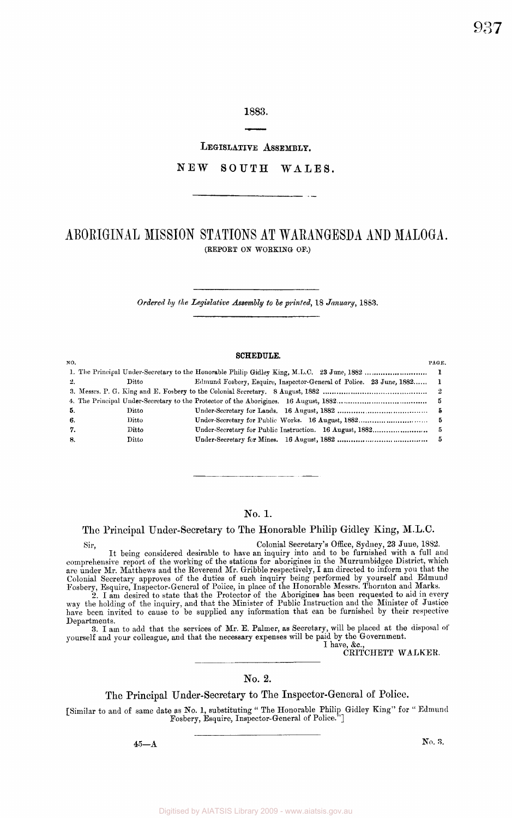**1883.** 

**LEGISLATIVE ASSEMBLY.** 

## $N EW$  SOUTH WALES.

# **ABORIGINA L MISSIO N STATION S A T WARANGESD A AN D MALOGA .**  (REPORT *On* WORKING- OF.)

*Ordered by the Legislative Assembly to be printed,* 18 *January,* 1863.

#### **SCHEDULE.**

| NO.  |                               | PAG E.                                                                |  |
|------|-------------------------------|-----------------------------------------------------------------------|--|
|      |                               |                                                                       |  |
| -2.  | Ditto                         | Edmund Fosbery, Esquire, Inspector-General of Police. 23 June, 1882 1 |  |
|      |                               |                                                                       |  |
|      |                               |                                                                       |  |
| - 5. | $\mathop{\rm Ditto}\nolimits$ |                                                                       |  |
| 6.   | Ditto                         | 5                                                                     |  |
| 7.   | Ditto.                        |                                                                       |  |
| 8.   | $_{\rm Ditto}$                |                                                                       |  |
|      |                               |                                                                       |  |

## No. 1.

## The Principal Under-Secretary to The Honorable Philip Gidley King, M.L.C.

Sir, Colonial Secretary's Office, Sydney, 23 June, 1882. It being considered desirable to have an inquiry into and to be furnished with a full and comprehensive report of the working of the stations for aborigines in the Murrumbidgee District, which are under Mr. Matthews and the Reverend Mr. Gribble respectively, I am directed to inform you that the Colonial Secretary approves of the duties of such inquiry being performed by yourself and Edmund Fosbery, Esquire, Inspector-General of Police, in place of the Honorable Messrs. Thornton and Marks.

2. I am desired to state that the Protector of the Aborigines has been requested to aid in every way the holding of the inquiry, and that the Minister of Public Instruction and the Minister of Justice have been invited to cause to be supplied any information that can be furnished by their respective Departments.

3. I am to add that the services of Mr. E. Palmer, as Secretary, will be placed at the disposal of yourself and your colleague, and that the necessary expenses will be paid by the Government. I have, &c,

CRITCHETT WALKER.

## No. 2.

### The Principal Under-Secretary to The Inspector-General of Police.

[Similar to and of same date as No. 1, substituting " The Honorable Philip Gidley King" for " Edmund Fosbery, Esquire, Inspector-General of Police."]

 $45 - A$ 

 $\mathbf{N}_0$ ,  $\mathbf{\hat{s}}$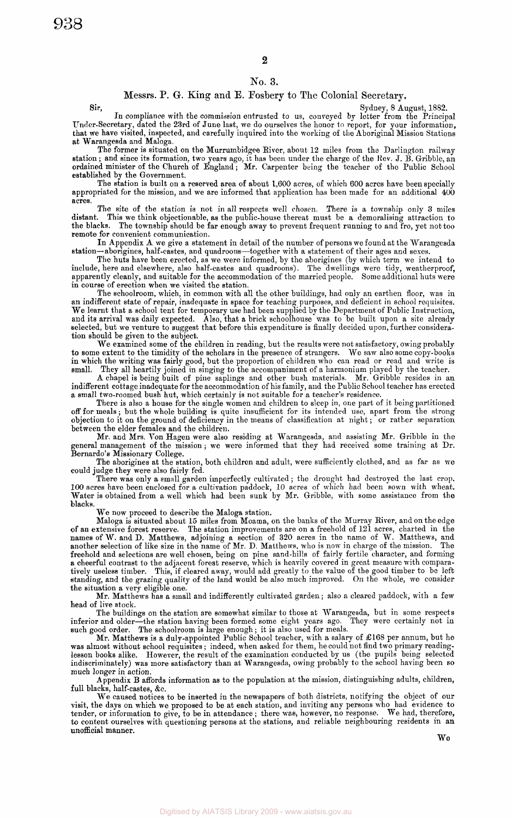#### No. 3.

#### Messrs. P. G. King and E. Fosbery to The Colonial Secretary.

Sydney, 8 August, 1882. In compliance with the commission entrusted to us, conveyed by letter from the Principal Under-Secretary, dated the 23rd of June last, we do ourselves the honor to report, for your information, that we have visited, inspected, and carefully inquired into the working of the Aboriginal Mission Stations at Warangesda and Maloga.

The former is situated on the Murrumbidgee River, about 12 miles from the Darlington railway station ; and since its formation, two years ago, it has been under the charge of the Kev. J. B. Gribble, an ordained minister of the Church of England; Mr. Carpenter being the teacher of the Public School established by the Government.

The station is built on a reserved area of about 1,600 acres, of which 600 acres have been specially appropriated for the mission, and we are informed that application has been made for an additional 400 acres.

The site of the station is not in all respects well chosen. There is a township only 3 miles distant. This we think objectionable, as the public-house thereat must be a demoralising attraction to the blacks. The township should be far enough away to prevent frequent running to and fro, yet not too remote for convenient communication.

In Appendix A we give a statement in detail of the number of persons we found at the Warangesda station—aborigines, half-castes, and quadroons—together with a statement of their ages and sexes.

The huts have been erected, as we were informed, by the aborigines (by which term we intend to include, here and elsewhere, also half-castes and quadroons). The dwellings were tidy, weatherproof, apparently cleanly, and suitable for the accommodation of the married people. Some additional huts were in course of erection when we visited the station.

The schoolroom, which, in common with all the other buildings, had only an earthen floor, was in an indifferent state of repair, inadequate in space for teaching purposes, and deficient in school requisites. We learnt that a school tent for temporary use had been supplied by the Department of Public Instruction, and its arrival was daily expected. Also, that a brick schoolhouse was to be built upon a site already selected, but we venture to suggest that before this expenditure is finally decided upon, further consideration should be given to the subject.

We examined some of the children in reading, but the results were not satisfactory, owing probably to some extent to the timidity of the scholars in the presence of strangers. We saw also some copy-books in which the writing was fairly good, but the proportion of children who can read or read and write is small. They all heartily joined in singing to the accompaniment of a harmonium played by the teacher.

A chapel is being built of pine saplings and other bush materials. Mr. Gribble resides in an indifferent cottage inadequate for the accommodation of his family, and the Public School teacher has erected a small two-roomed bush hut, which certainly is not suitable for a teacher's residence.

There is also a house for the single women and children to sleep in, one part of it being partitioned off for meals; but the whole building is quite insufficient for its intended use, apart from the strong objection to it on the ground of deficiency in the means of classification at night; or rather separation between the elder females and the children.

Mr. and Mrs. Von Hagen were also residing at Warangesda, and assisting Mr. Gribble in the general management of the mission; we were informed that they had received some training at Dr. Bernardo's Missionary College.

The aborigines at the station, both children and adult, were sufficiently clothed, and as far as we could judge they were also fairly fed.

There was only a small garden imperfectly cultivated ; the drought had destroyed the last crop. 100 acres have been enclosed for a cultivation paddock, 10 acres of which had been sown with wheat. Water is obtained from a well which had been sunk by Mr. Gribble, with some assistance from the blacks.

We now proceed to describe the Maloga station.<br>Maloga is situated about 15 miles from Moama, on the banks of the Murray River, and on the edge Maloga is situated about 15 miles from Moama, on the banks of the Murray River, and on the edge of an extensive forest reserve. The station improvements are on a freehold of 121 acres, charted in the names of W. and D. Matthews, adjoining a section of 320 acres in the name of W. Matthews, and another selection of like size in the name of Mr. D. Matthews, who is now in charge of the mission. The freehold and selections are well chosen, being on pine sand-hills of fairly fertile character, and forming a cheerful contrast to the adjacent forest reserve, which is heavily covered in great measure with comparatively useless timber. This, if cleared away, would add greatly to the value of the good timber to be left standing, and the grazing quality of the land would be also much improved. On the whole, we consider the situation a very eligible one.

Mr. Matthews has a small and indifferently cultivated garden; also a cleared paddock, with a few head of live stock.

The buildings on the station are somewhat similar to those at Warangesda, but in some respects inferior and older—the station having been formed some eight years ago. They were certainly not in inferior and older—the station having been formed some eight years ago. such good order. The schoolroom is large enough; it is also used for meals.

Mr. Matthews is a duly-appointed Public School teacher, with a salary of £168 per annum, but he was almost without school requisites; indeed, when asked for them, he could not find two primary readinglesson books alike. However, the result of the examination conducted by us (the pupils being selected indiscriminately) was more satisfactory than at Warangesda, owing probably to the school having been so much longer in action.

Appendix B affords information as to the population at the mission, distinguishing adults, children, full blacks, half-castes, &c.

We caused notices to be inserted in the newspapers of both districts, notifying the object of our visit, the days on which we proposed to be at each station, and inviting any persons who had evidence to tender, or information to give, to be in attendance ; there was, however, no response. We had, therefore, to content ourselves with questioning persons at the stations, and reliable neighbouring residents in an unofficial manner.

**We**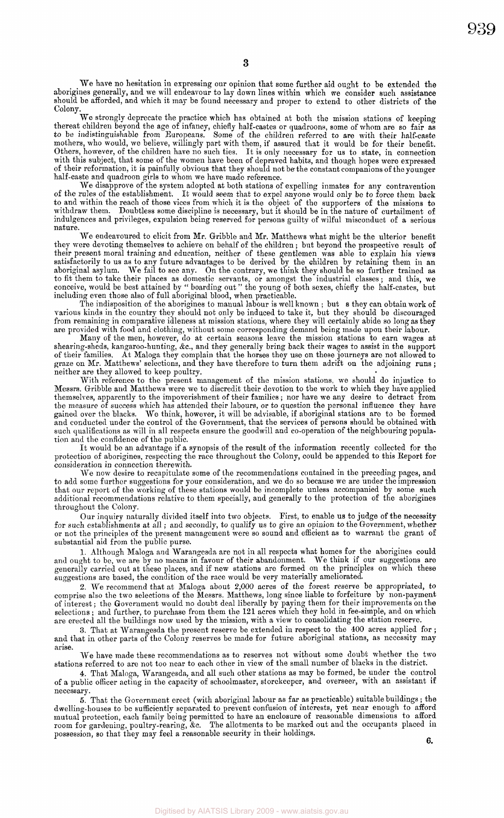We have no hesitation in expressing our opinion that some further aid ought to be extended the aborigines generally, and we will endeavour to lay down lines within which we consider such assistance should be afforded, and which it may be found necessary and proper to extend to other districts of the Colony.

**3** 

We strongly deprecate the practice which has obtained at both the mission stations of keeping thereat children beyond the age of infancy, chiefly half-castes or quadroons, some of whom are so fair as to be indistinguishable from Europeans. Some of the children referred to are with their half-caste mothers, who would, we believe, willingly part with them, if assured that it would be for their benefit. Others, however, of the children have no such ties. It is only necessary for us to state, in connection with this subject, that some of the women have been of depraved habits, and though hopes were expressed of their reformation, it is painfully obvious that they should not be the constant companions of the younger half-caste and quadroon girls to whom we have made reference.

We disapprove of the system adopted at both stations of expelling inmates for any contravention of the rules of the establishment. It would seem that to expel anyone would only be to force them back to and within the reach of those vices from which it is the object of the supporters of the missions to withdraw them. Doubtless some discipline is necessary, but it should be in the nature of curtailment of indulgences and privileges, expulsion being reserved for persons guilty of wilful misconduct of a serious nature.

We endeavoured to elicit from Mr. Gribble and Mr. Matthews what might be the ulterior benefit they were devoting themselves to achieve on behalf of the children; but beyond the prospective result of their present moral training and education, neither of these gentlemen was able to explain his views satisfactorily to us as to any future advantages to be derived by the children by retaining them in an aboriginal asylum. We fail to see any. On the contrary, we think they should be so further trained as to fit them to take their places as domestic servants, or amongst the industrial classes; and this, we conceive, would be best attained by " boarding out" the young of both sexes, chiefly the half-castes, but including even those also of full aboriginal blood, when practicable.

The indisposition of the aborigines to manual labour is well known ; but s they can obtain work of various kinds in the country they should not only be induced to take it, but they should be discouraged from remaining in comparative idleness at mission stations, where they will certainly abide so long as they are provided with food and clothing, without some corresponding demand being made upon their labour.

Many of the men, however, do at certain seasons leave the mission stations to earn wages at shearing-sheds, kangaroo-hunting, &c, and they generally bring back their wages to assist in the support of their families. At Maloga they complain that the horses they use on these journeys are not allowed to graze on Mr. Matthews' selections, and they have therefore to turn them adrift on the adjoining runs ; neither are they allowed to keep poultry.

With reference to the present management of the mission stations, we should do injustice to Messrs. Gribble and Matthews were we to discredit their devotion to the work to which they have applied themselves, apparently to the impoverishment of their families ; nor have we any desire to detract from the measure of success which has attended their labours, or to question the personal influence they have<br>gained over the blacks. We think, however, it will be advisable, if aboriginal stations are to be formed We think, however, it will be advisable, if aboriginal stations are to be formed and conducted under the control of the Government, that the services of persons should be obtained with such qualifications as will in all respects ensure the goodwill and co-operation of the neighbouring population and the confidence of the public.

It would be an advantage if a synopsis of the result of the information recently collected for the protection of aborigines, respecting the race throughout the Colony, could be appended to this Report for consideration in connection therewith.

We now desire to recapitulate some of the recommendations contained in the preceding pages, and to add some further suggestions for your consideration, and we do so because we are under the impression that our report of the working of these stations would be incomplete unless accompanied by some such additional recommendations relative to them specially, and generally to the protection of the aborigines throughout the Colony.

Our inquiry naturally divided itself into two objects. First, to enable us to judge of the necessity for such establishments at all ; and secondly, to qualify us to give an opinion to the Government, whether or not the principles of the present management were so sound and efficient as to warrant the grant of substantial aid from the public purse.

1. Although Maloga and Warangesda are not in all respects what homes for the aborigines could and ought to be, we are by no means in favour of their abandonment. We think if our suggestions are generally carried out at these places, and if new stations are formed on the principles on which these suggestions are based, the condition of the race would be very materially ameliorated.

2. We recommend that at Maloga about 2,000 acres of the forest reserve be appropriated, to comprise also the two selections of the Messrs. Matthews, long since liable to forfeiture by non-payment of interest; the Government would no doubt deal liberally by paying them for their improvements on the selections ; and further, to purchase from them the 121 acres which they hold in fee-simple, and on which are erected all the buildings now used by the mission, with a view to consolidating the station reserve.

3. That at Warangesda the present reserve be extended in respect to the 400 acres applied for ; and that in other parts of the Colony reserves be made for future aboriginal stations, as necessity may arise.

We have made these recommendations as to reserves not without some doubt whether the two stations referred to are not too near to each other in view of the small number of blacks in the district.

4. That Maloga, Warangesda, and all such other stations as may be formed, be under the control of a public officer acting in the capacity of schoolmaster, storekeeper, and overseer, with an assistant if necessary.

5. That the Government erect (with aboriginal labour as far as practicable) suitable buildings ; the dwelling-houses to be sufficiently separated to prevent confusion of interests, yet near enough to afford mutual protection, each family being permitted to have an enclosure of reasonable dimensions to afford room for gardening, poultry-rearing, &c. The allotments to be marked out and the occupants placed in possession, so that they may feel a reasonable security in their holdings.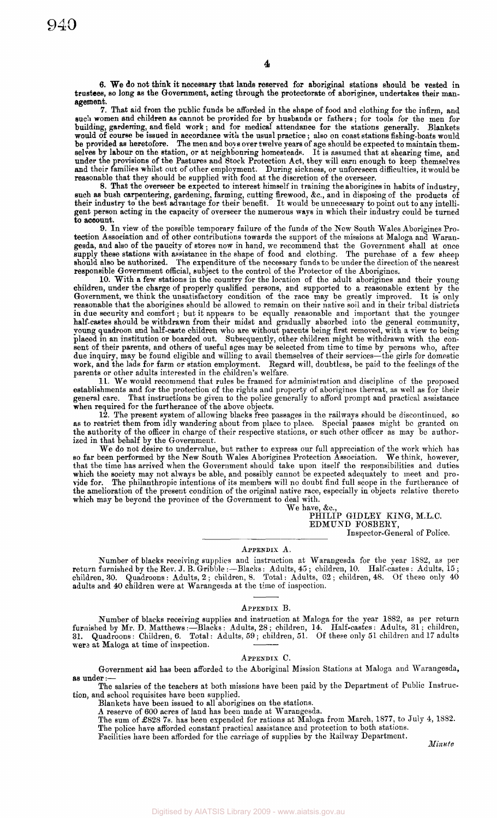7. That aid from the public funds be afforded in the shape of food and clothing for the infirm, and such women and children as cannot be provided for by husbands or fathers ; for tools for the men for building, gardening, and field work; and for medical attendance for the stations generally. Blankets would of course be issued in accordance with the usual practice ; also on coast stations fishing-boats would be provided as heretofore. The men and boy s over twelve years of age should be expected to maintain themselves by labour on the station, or at neighbouring homesteads. It is assumed that at shearing time, and under the provisions of the Pastures and Stock Protection Act, they will earn enough to keep themselves and their families whilst out of other employment. During sickness, or unforeseen difficulties, it would be reasonable that they should be supplied with food at the discretion of the overseer.

8. That the overseer be expected to interest himself in training the aborigines in habits of industry, such as bush carpentering, gardening, farming, cutting firewood, &c, and in disposing of the products of their industry to the best advantage for their benefit. It would be unnecessary to point out to any intelligent person acting in the capacity of overseer the numerous ways in which their industry could be turned to account.

9. In view of the possible temporary failure of the funds of the New South Wales Aborigines Protection Association and of other contributions towards the support of the missions at Maloga and Warangesda, and also of the paucity of stores now in hand, we recommend that the Government shall at once supply these stations with assistance in the shape of food and clothing. The purchase of a few sheep should also be authorized. The expenditure of the necessary funds to be under the direction of the nearest responsible Government official, subject to the control of the Protector of the Aborigines.

10. With a few stations in the country for the location of the adult aborigines and their young children, under the charge of properly qualified persons, and supported to a reasonable extent by the Government, we think the unsatisfactory condition of the race may be greatly improved. It is only reasonable that the aborigines should be allowed to remain on their native soil and in their tribal districts in due security and comfort; but it appears to be equally reasonable and important that the younger half-castes should be withdrawn from their midst and gradually absorbed into the general community, young quadroon and half-caste children who are without parents being first removed, with a view to being placed in an institution or boarded out. Subsequently, other children might be withdrawn with the consent of their parents, and others of useful ages may be selected from time to time by persons who, after due inquiry, may be found eligible and willing to avail themselves of their services—the girls for domestic work, and the lads for farm or station employment. Regard will, doubtless, be paid to the feelings of the parents or other adults interested in the children's welfare.

11. We would recommend that rules be framed for administration and discipline of the proposed establishments and for the protection of the rights and property of aborigines thereat, as well as for their general care. That instructions be given to the police generally to afford prompt and practical assistance when required for the furtherance of the above objects.

12. The present system of allowing blacks free passages in the railways should be discontinued, so as to restrict them from idly wandering about from place to place. Special passes might be granted on the authority of the officer in charge of their respective stations, or such other officer as may be authorized in that behalf by the Government.

We do not desire to undervalue, but rather to express our full appreciation of the work which has so far been performed by the New South Wales Aborigines Protection Association. We think, however, that the time has arrived when the Government should take upon itself the responsibilities and duties which the society may not always be able, and possibly cannot be expected adequately to meet and provide for. The philanthropic intentions of its members will no doubt find full scope in the furtherance of the amelioration of the present condition of the original native race, especially in objects relative thereto which may be beyond the province of the Government to deal with.

We have, &c. PHILIP GIDLEY KING, M.L.C. EDMUND FOSBERY, Inspector-General of Police.

#### APPENDIX A.

Number of blacks receiving supplies and instruction at Warangesda for the year 1882, as per return furnished by the Rev. J. B. Gribble :—Blacks: Adults, 45 ; children, 10. Half-castes : Adults, 15 ; children, 30. Quadroons : Adults, 2 ; children, 8. Total: Adults, 62 ; children, 48. Of these only 40 adults and 40 children were at Warangesda at the time of inspection.

#### APPENDIX B.

Number of blacks receiving supplies and instruction at Maloga for the year 1882, as per return furnished by Mr. D. Matthews :—Blacks : Adults, 28 ; children, 14. Half-castes : Adults, 31; children, 31. Quadroons: Children, 6. Total: Adults, 59 ; children, 51. Of these only 51 children and 17 adults were at Maloga at time of inspection.

#### APPENDIX C.

Government aid has been afforded to the Aboriginal Mission Stations at Maloga and Warangesda, as under

The salaries of the teachers at both missions have been paid by the Department of Public Instruction, and school requisites have been supplied.

Blankets have been issued to all aborigines on the stations.

A reserve of 600 acres of land has been made at Warangesda.

The sum of £828 7s. has been expended for rations at Maloga from March, 1877, to July 4, 1882. The police have afforded constant practical assistance and protection to both stations.

Facilities have been afforded for the carriage of supplies by the Railway Department.

*Minute*